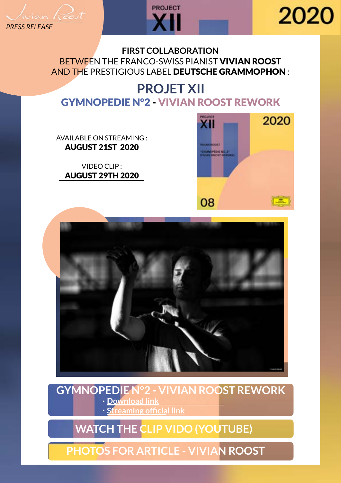$\frac{1}{2}$ *PRESS RELEASE*



# 2020

#### **FIRST COLLABORATION** BETWEEN THE FRANCO-SWISS PIANIST VIVIAN ROOST AND THE PRESTIGIOUS LABEL DEUTSCHE GRAMMOPHON :

#### **PROJET XII** GYMNOPEDIE N°2 - VIVIAN ROOST REWORK

[AVAILABLE ON STREAMING :](https://snd.click/iytlcitu)  AUGUST 21ST 2020

VIDEO CLIP : AUGUST 29TH 2020





#### **GYMNOPEDIE N°2 - VIVIAN ROOST REWORK [Download link](https://soundcloud.com/vivianroost/gymnopedie-n2-vivian-roost-rework/s-X8YKXQ48TME)**

**[Streaming official link](https://snd.click/iytlcitu)**

## **[WATCH THE CLIP VIDO \(YOUTUBE\)](https://youtu.be/w0WOsQyd6xo)**

### **[PHOTOS FOR ARTICLE - VIVIAN ROOST](https://we.tl/t-vs6E502Hno)**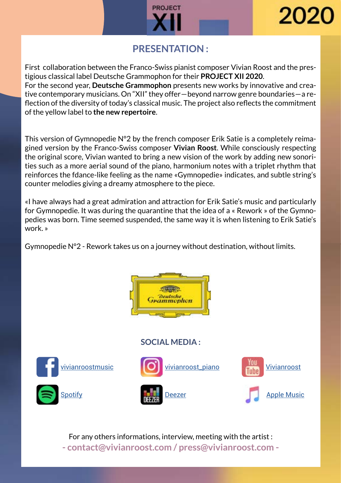



#### **PRESENTATION :**

First collaboration between the Franco-Swiss pianist composer Vivian Roost and the prestigious classical label Deutsche Grammophon for their **PROJECT XII 2020**. For the second year, **Deutsche Grammophon** presents new works by innovative and crea-

tive contemporary musicians. On "XII" they offer—beyond narrow genre boundaries—a reflection of the diversity of today's classical music. The project also reflects the commitment of the yellow label to **the new repertoire**.

This version of Gymnopedie N°2 by the french composer Erik Satie is a completely reimagined version by the Franco-Swiss composer **Vivian Roost**. While consciously respecting the original score, Vivian wanted to bring a new vision of the work by adding new sonorities such as a more aerial sound of the piano, harmonium notes with a triplet rhythm that reinforces the fdance-like feeling as the name «Gymnopedie» indicates, and subtle string's counter melodies giving a dreamy atmosphere to the piece.

«I have always had a great admiration and attraction for Erik Satie's music and particularly for Gymnopedie. It was during the quarantine that the idea of a « Rework » of the Gymnopedies was born. Time seemed suspended, the same way it is when listening to Erik Satie's work. »

Gymnopedie N°2 - Rework takes us on a journey without destination, without limits.



#### **SOCIAL MEDIA :**









For any others informations, interview, meeting with the artist : **- contact@vivianroost.com / press@vivianroost.com -**